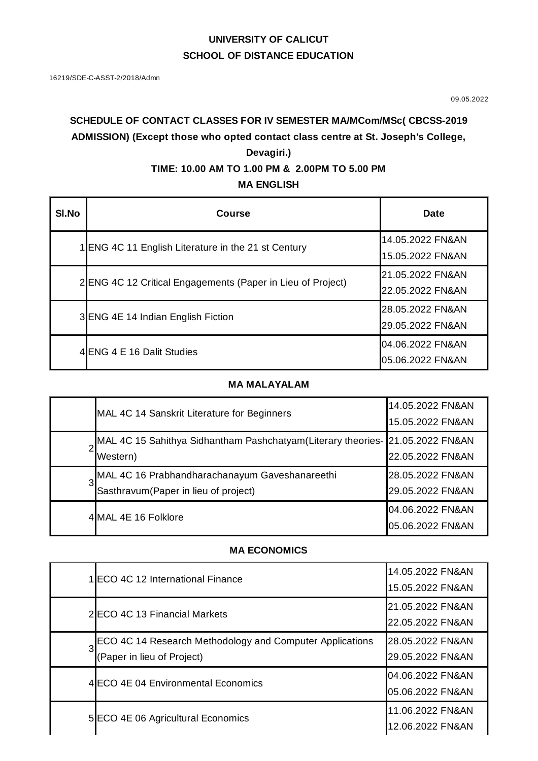# **UNIVERSITY OF CALICUT SCHOOL OF DISTANCE EDUCATION**

09.05.2022

# **SCHEDULE OF CONTACT CLASSES FOR IV SEMESTER MA/MCom/MSc( CBCSS-2019 ADMISSION) (Except those who opted contact class centre at St. Joseph's College, Devagiri.)**

## **TIME: 10.00 AM TO 1.00 PM & 2.00PM TO 5.00 PM**

## **MA ENGLISH**

| SI.No | <b>Course</b>                                              | Date                                                                         |
|-------|------------------------------------------------------------|------------------------------------------------------------------------------|
|       | 1 ENG 4C 11 English Literature in the 21 st Century        | 14.05.2022 FN&AN                                                             |
|       |                                                            | 15.05.2022 FN&AN                                                             |
|       | 2ENG 4C 12 Critical Engagements (Paper in Lieu of Project) | 21.05.2022 FN&AN                                                             |
|       |                                                            | 22.05.2022 FN&AN                                                             |
|       | 3 ENG 4E 14 Indian English Fiction                         | 28.05.2022 FN&AN<br>29.05.2022 FN&AN<br>04.06.2022 FN&AN<br>05.06.2022 FN&AN |
|       |                                                            |                                                                              |
|       | 4 ENG 4 E 16 Dalit Studies                                 |                                                                              |
|       |                                                            |                                                                              |

### **MA MALAYALAM**

|   | MAL 4C 14 Sanskrit Literature for Beginners                                                | 14.05.2022 FN&AN<br>15.05.2022 FN&AN |
|---|--------------------------------------------------------------------------------------------|--------------------------------------|
|   | MAL 4C 15 Sahithya Sidhantham Pashchatyam (Literary theories- 21.05.2022 FN&AN<br>Western) | 22.05.2022 FN&AN                     |
| 3 | MAL 4C 16 Prabhandharachanayum Gaveshanareethi<br>Sasthravum (Paper in lieu of project)    | 28.05.2022 FN&AN<br>29.05.2022 FN&AN |
|   | 4 MAL 4E 16 Folklore                                                                       | 04.06.2022 FN&AN<br>05.06.2022 FN&AN |

# **MA ECONOMICS**

|   | 1 ECO 4C 12 International Finance                        | 14.05.2022 FN&AN<br>15.05.2022 FN&AN |
|---|----------------------------------------------------------|--------------------------------------|
|   |                                                          |                                      |
|   | 2 ECO 4C 13 Financial Markets                            | 21.05.2022 FN&AN                     |
|   |                                                          | 22.05.2022 FN&AN                     |
| 3 | ECO 4C 14 Research Methodology and Computer Applications | 28.05.2022 FN&AN                     |
|   | (Paper in lieu of Project)                               | 29.05.2022 FN&AN                     |
|   | 4 ECO 4E 04 Environmental Economics                      | 04.06.2022 FN&AN                     |
|   |                                                          | 05.06.2022 FN&AN                     |
|   | 5 ECO 4E 06 Agricultural Economics                       | 11.06.2022 FN&AN<br>12.06.2022 FN&AN |
|   |                                                          |                                      |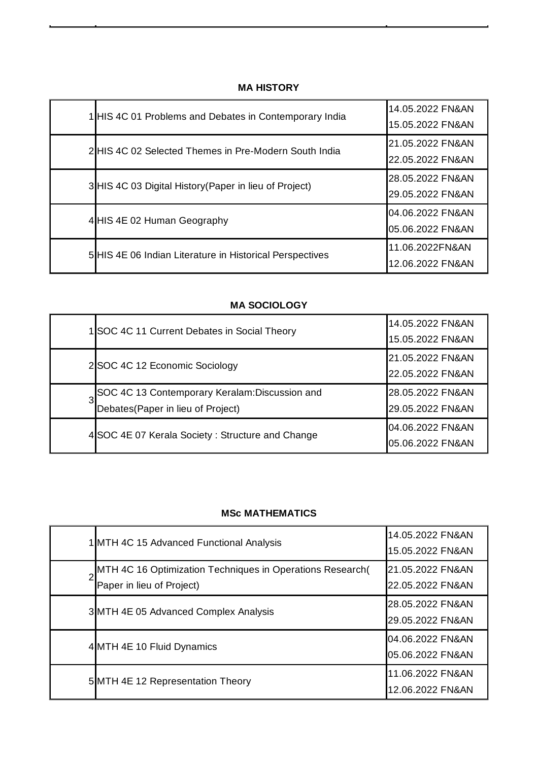## **MA HISTORY**

| 1 HIS 4C 01 Problems and Debates in Contemporary India   | 14.05.2022 FN&AN<br>15.05.2022 FN&AN |
|----------------------------------------------------------|--------------------------------------|
| 2 HIS 4C 02 Selected Themes in Pre-Modern South India    | 21.05.2022 FN&AN<br>22.05.2022 FN&AN |
| 3 HIS 4C 03 Digital History (Paper in lieu of Project)   | 28.05.2022 FN&AN<br>29.05.2022 FN&AN |
| 4 HIS 4E 02 Human Geography                              | 04.06.2022 FN&AN<br>05.06.2022 FN&AN |
| 5 HIS 4E 06 Indian Literature in Historical Perspectives | 11.06.2022FN&AN<br>12.06.2022 FN&AN  |

### **MA SOCIOLOGY**

| 1 SOC 4C 11 Current Debates in Social Theory                                         | 14.05.2022 FN&AN<br>15.05.2022 FN&AN |
|--------------------------------------------------------------------------------------|--------------------------------------|
| 2 SOC 4C 12 Economic Sociology                                                       | 21.05.2022 FN&AN<br>22.05.2022 FN&AN |
| SOC 4C 13 Contemporary Keralam: Discussion and<br>Debates (Paper in lieu of Project) | 28.05.2022 FN&AN<br>29.05.2022 FN&AN |
| 4 SOC 4E 07 Kerala Society: Structure and Change                                     | 04.06.2022 FN&AN<br>05.06.2022 FN&AN |

#### **MSc MATHEMATICS**

| 1 MTH 4C 15 Advanced Functional Analysis                                               | 14.05.2022 FN&AN<br>15.05.2022 FN&AN |
|----------------------------------------------------------------------------------------|--------------------------------------|
| MTH 4C 16 Optimization Techniques in Operations Research(<br>Paper in lieu of Project) | 21.05.2022 FN&AN<br>22.05.2022 FN&AN |
| 3 MTH 4E 05 Advanced Complex Analysis                                                  | 28.05.2022 FN&AN<br>29.05.2022 FN&AN |
| 4 MTH 4E 10 Fluid Dynamics                                                             | 04.06.2022 FN&AN<br>05.06.2022 FN&AN |
| 5 MTH 4E 12 Representation Theory                                                      | 11.06.2022 FN&AN<br>12.06.2022 FN&AN |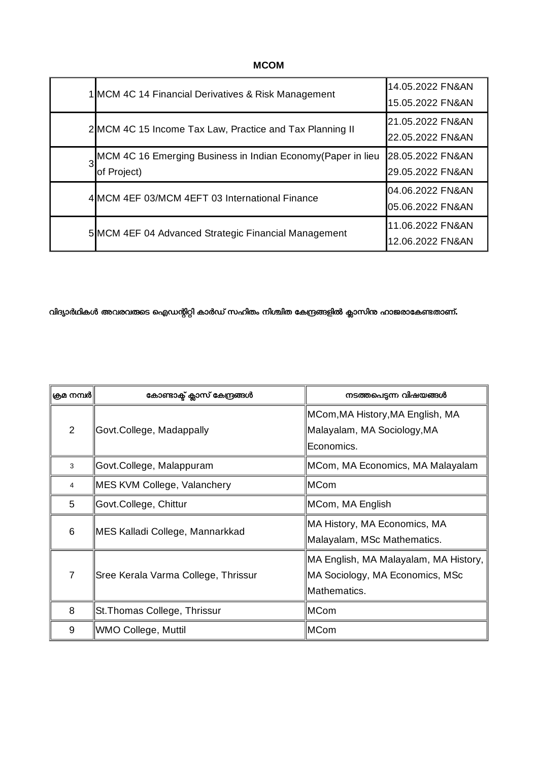**MCOM**

| 1 MCM 4C 14 Financial Derivatives & Risk Management                          | 14.05.2022 FN&AN<br>15.05.2022 FN&AN |
|------------------------------------------------------------------------------|--------------------------------------|
| 2 MCM 4C 15 Income Tax Law, Practice and Tax Planning II                     | 21.05.2022 FN&AN<br>22.05.2022 FN&AN |
| 3MCM 4C 16 Emerging Business in Indian Economy (Paper in lieu<br>of Project) | 28.05.2022 FN&AN<br>29.05.2022 FN&AN |
| 4 MCM 4EF 03/MCM 4EFT 03 International Finance                               | 04.06.2022 FN&AN<br>05.06.2022 FN&AN |
| 5 MCM 4EF 04 Advanced Strategic Financial Management                         | 11.06.2022 FN&AN<br>12.06.2022 FN&AN |

## വിദ്യാർഥികൾ അവരവരുടെ ഐഡന്റിറ്റി കാർഡ് സഹിതം നിശ്ചിത കേന്ദ്രങ്ങളിൽ ക്ലാസിന്<mark>റ</mark> ഹാജരാകേണ്ടതാണ്**.**

| ക്രമ നമ്പർ     | കോണ്ടാക്ട് ക്ലാസ് കേന്ദ്രങ്ങൾ       | നടത്തപെടുന്ന വിഷയങ്ങൾ                                          |
|----------------|-------------------------------------|----------------------------------------------------------------|
| $\overline{2}$ | Govt.College, Madappally            | MCom, MA History, MA English, MA<br>Malayalam, MA Sociology,MA |
|                |                                     | Economics.                                                     |
| 3              | Govt.College, Malappuram            | MCom, MA Economics, MA Malayalam                               |
| $\overline{4}$ | MES KVM College, Valanchery         | ∣MCom                                                          |
| 5              | Govt.College, Chittur               | MCom, MA English                                               |
| 6              | MES Kalladi College, Mannarkkad     | MA History, MA Economics, MA                                   |
|                |                                     | Malayalam, MSc Mathematics.                                    |
|                |                                     | MA English, MA Malayalam, MA History,                          |
| $\overline{7}$ | Sree Kerala Varma College, Thrissur | MA Sociology, MA Economics, MSc                                |
|                |                                     | Mathematics.                                                   |
| 8              | St. Thomas College, Thrissur        | ∣MCom                                                          |
| 9              | WMO College, Muttil                 | ∣MCom                                                          |